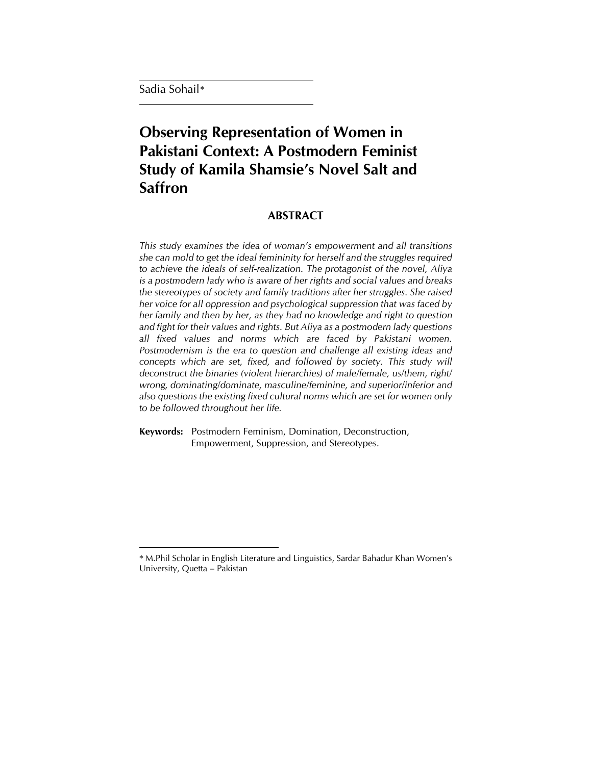Sadia Sohail\*

 $\overline{\phantom{a}}$ 

# **Observing Representation of Women in Pakistani Context: A Postmodern Feminist Study of Kamila Shamsie's Novel Salt and Saffron**

## **ABSTRACT**

*This study examines the idea of woman's empowerment and all transitions she can mold to get the ideal femininity for herself and the struggles required to achieve the ideals of self-realization. The protagonist of the novel, Aliya is a postmodern lady who is aware of her rights and social values and breaks the stereotypes of society and family traditions after her struggles. She raised her voice for all oppression and psychological suppression that was faced by her family and then by her, as they had no knowledge and right to question and fight for their values and rights. But Aliya as a postmodern lady questions all fixed values and norms which are faced by Pakistani women. Postmodernism is the era to question and challenge all existing ideas and concepts which are set, fixed, and followed by society. This study will deconstruct the binaries (violent hierarchies) of male/female, us/them, right/ wrong, dominating/dominate, masculine/feminine, and superior/inferior and also questions the existing fixed cultural norms which are set for women only to be followed throughout her life.*

**Keywords:** Postmodern Feminism, Domination, Deconstruction, Empowerment, Suppression, and Stereotypes.

<sup>\*</sup> M.Phil Scholar in English Literature and Linguistics, Sardar Bahadur Khan Women's University, Quetta – Pakistan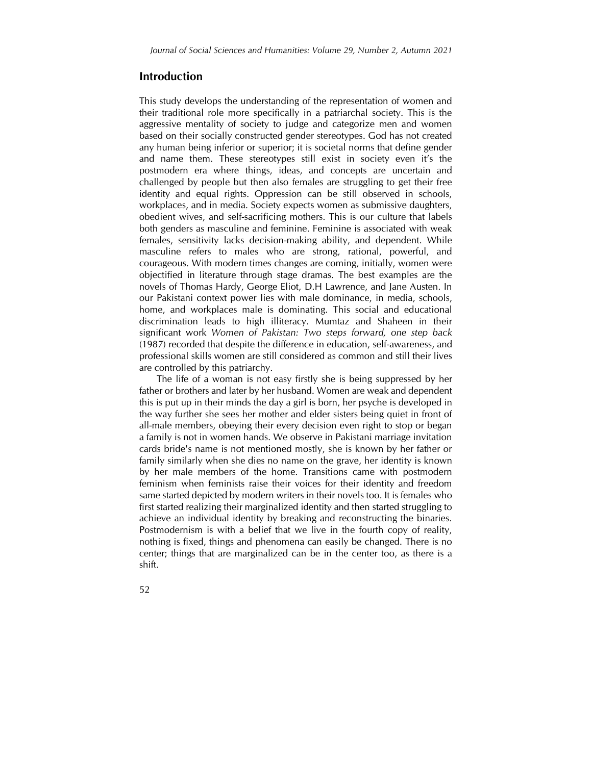## **Introduction**

This study develops the understanding of the representation of women and their traditional role more specifically in a patriarchal society. This is the aggressive mentality of society to judge and categorize men and women based on their socially constructed gender stereotypes. God has not created any human being inferior or superior; it is societal norms that define gender and name them. These stereotypes still exist in society even it's the postmodern era where things, ideas, and concepts are uncertain and challenged by people but then also females are struggling to get their free identity and equal rights. Oppression can be still observed in schools, workplaces, and in media. Society expects women as submissive daughters, obedient wives, and self-sacrificing mothers. This is our culture that labels both genders as masculine and feminine. Feminine is associated with weak females, sensitivity lacks decision-making ability, and dependent. While masculine refers to males who are strong, rational, powerful, and courageous. With modern times changes are coming, initially, women were objectified in literature through stage dramas. The best examples are the novels of Thomas Hardy, George Eliot, D.H Lawrence, and Jane Austen. In our Pakistani context power lies with male dominance, in media, schools, home, and workplaces male is dominating. This social and educational discrimination leads to high illiteracy. Mumtaz and Shaheen in their significant work *Women of Pakistan: Two steps forward, one step back* (1987) recorded that despite the difference in education, self-awareness, and professional skills women are still considered as common and still their lives are controlled by this patriarchy.

The life of a woman is not easy firstly she is being suppressed by her father or brothers and later by her husband. Women are weak and dependent this is put up in their minds the day a girl is born, her psyche is developed in the way further she sees her mother and elder sisters being quiet in front of all-male members, obeying their every decision even right to stop or began a family is not in women hands. We observe in Pakistani marriage invitation cards bride's name is not mentioned mostly, she is known by her father or family similarly when she dies no name on the grave, her identity is known by her male members of the home. Transitions came with postmodern feminism when feminists raise their voices for their identity and freedom same started depicted by modern writers in their novels too. It is females who first started realizing their marginalized identity and then started struggling to achieve an individual identity by breaking and reconstructing the binaries. Postmodernism is with a belief that we live in the fourth copy of reality, nothing is fixed, things and phenomena can easily be changed. There is no center; things that are marginalized can be in the center too, as there is a shift.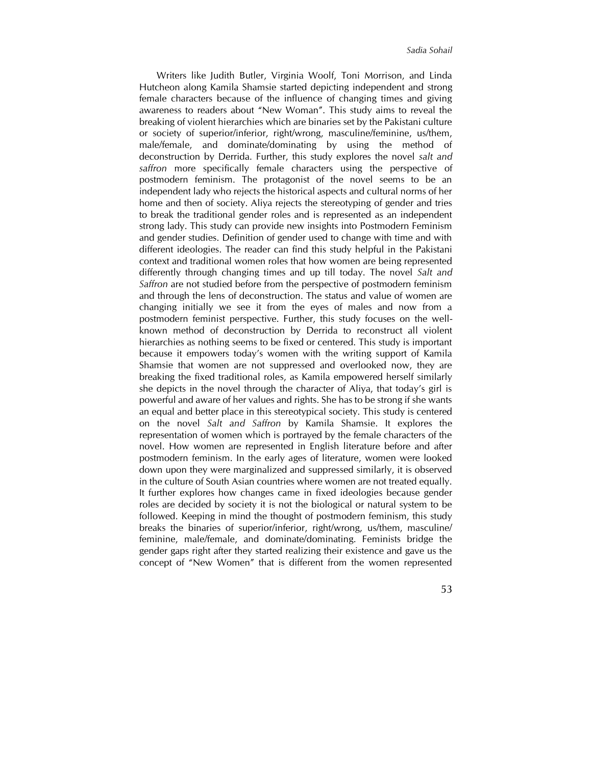Writers like Judith Butler, Virginia Woolf, Toni Morrison, and Linda Hutcheon along Kamila Shamsie started depicting independent and strong female characters because of the influence of changing times and giving awareness to readers about "New Woman". This study aims to reveal the breaking of violent hierarchies which are binaries set by the Pakistani culture or society of superior/inferior, right/wrong, masculine/feminine, us/them, male/female, and dominate/dominating by using the method of deconstruction by Derrida. Further, this study explores the novel *salt and saffron* more specifically female characters using the perspective of postmodern feminism. The protagonist of the novel seems to be an independent lady who rejects the historical aspects and cultural norms of her home and then of society. Aliya rejects the stereotyping of gender and tries to break the traditional gender roles and is represented as an independent strong lady. This study can provide new insights into Postmodern Feminism and gender studies. Definition of gender used to change with time and with different ideologies. The reader can find this study helpful in the Pakistani context and traditional women roles that how women are being represented differently through changing times and up till today. The novel *Salt and Saffron* are not studied before from the perspective of postmodern feminism and through the lens of deconstruction. The status and value of women are changing initially we see it from the eyes of males and now from a postmodern feminist perspective. Further, this study focuses on the wellknown method of deconstruction by Derrida to reconstruct all violent hierarchies as nothing seems to be fixed or centered. This study is important because it empowers today's women with the writing support of Kamila Shamsie that women are not suppressed and overlooked now, they are breaking the fixed traditional roles, as Kamila empowered herself similarly she depicts in the novel through the character of Aliya, that today's girl is powerful and aware of her values and rights. She has to be strong if she wants an equal and better place in this stereotypical society. This study is centered on the novel *Salt and Saffron* by Kamila Shamsie. It explores the representation of women which is portrayed by the female characters of the novel. How women are represented in English literature before and after postmodern feminism. In the early ages of literature, women were looked down upon they were marginalized and suppressed similarly, it is observed in the culture of South Asian countries where women are not treated equally. It further explores how changes came in fixed ideologies because gender roles are decided by society it is not the biological or natural system to be followed. Keeping in mind the thought of postmodern feminism, this study breaks the binaries of superior/inferior, right/wrong, us/them, masculine/ feminine, male/female, and dominate/dominating. Feminists bridge the gender gaps right after they started realizing their existence and gave us the concept of "New Women" that is different from the women represented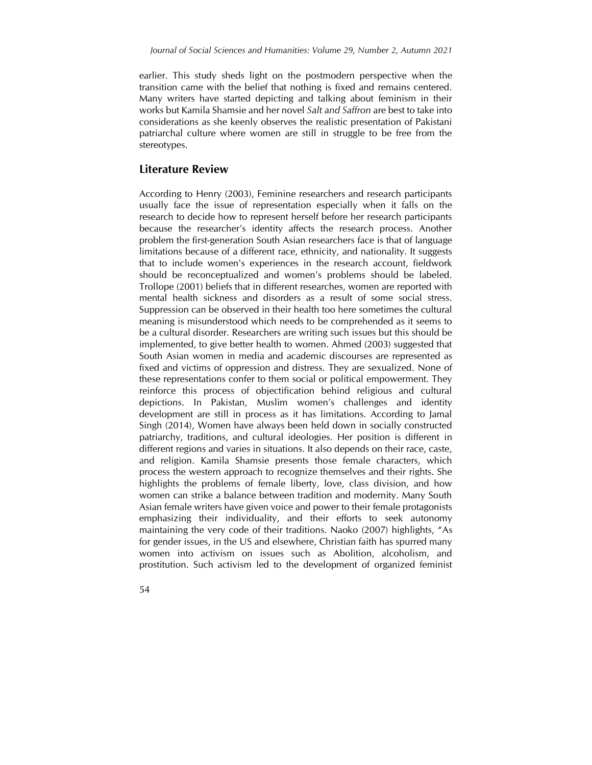earlier. This study sheds light on the postmodern perspective when the transition came with the belief that nothing is fixed and remains centered. Many writers have started depicting and talking about feminism in their works but Kamila Shamsie and her novel *Salt and Saffron* are best to take into considerations as she keenly observes the realistic presentation of Pakistani patriarchal culture where women are still in struggle to be free from the stereotypes.

## **Literature Review**

According to Henry (2003), Feminine researchers and research participants usually face the issue of representation especially when it falls on the research to decide how to represent herself before her research participants because the researcher's identity affects the research process. Another problem the first-generation South Asian researchers face is that of language limitations because of a different race, ethnicity, and nationality. It suggests that to include women's experiences in the research account, fieldwork should be reconceptualized and women's problems should be labeled. Trollope (2001) beliefs that in different researches, women are reported with mental health sickness and disorders as a result of some social stress. Suppression can be observed in their health too here sometimes the cultural meaning is misunderstood which needs to be comprehended as it seems to be a cultural disorder. Researchers are writing such issues but this should be implemented, to give better health to women. Ahmed (2003) suggested that South Asian women in media and academic discourses are represented as fixed and victims of oppression and distress. They are sexualized. None of these representations confer to them social or political empowerment. They reinforce this process of objectification behind religious and cultural depictions. In Pakistan, Muslim women's challenges and identity development are still in process as it has limitations. According to Jamal Singh (2014), Women have always been held down in socially constructed patriarchy, traditions, and cultural ideologies. Her position is different in different regions and varies in situations. It also depends on their race, caste, and religion. Kamila Shamsie presents those female characters, which process the western approach to recognize themselves and their rights. She highlights the problems of female liberty, love, class division, and how women can strike a balance between tradition and modernity. Many South Asian female writers have given voice and power to their female protagonists emphasizing their individuality, and their efforts to seek autonomy maintaining the very code of their traditions. Naoko (2007) highlights, "As for gender issues, in the US and elsewhere, Christian faith has spurred many women into activism on issues such as Abolition, alcoholism, and prostitution. Such activism led to the development of organized feminist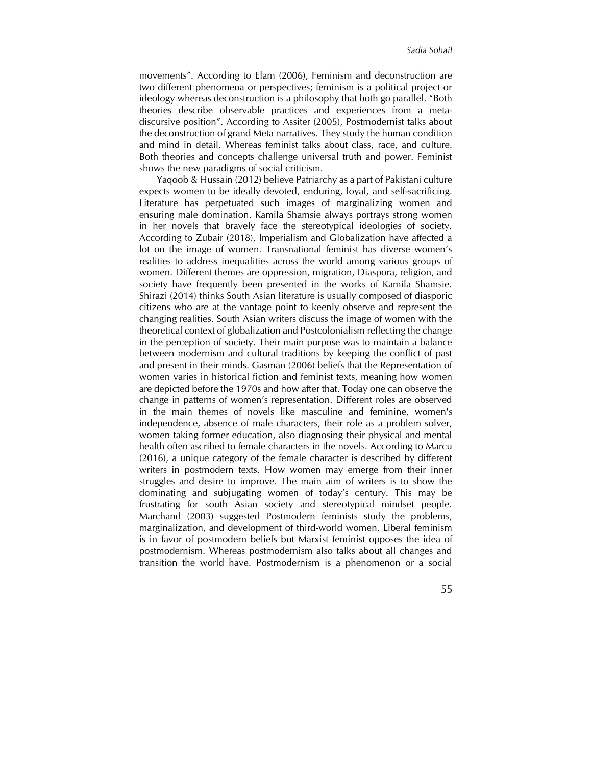movements". According to Elam (2006), Feminism and deconstruction are two different phenomena or perspectives; feminism is a political project or ideology whereas deconstruction is a philosophy that both go parallel. "Both theories describe observable practices and experiences from a metadiscursive position". According to Assiter (2005), Postmodernist talks about the deconstruction of grand Meta narratives. They study the human condition and mind in detail. Whereas feminist talks about class, race, and culture. Both theories and concepts challenge universal truth and power. Feminist shows the new paradigms of social criticism.

Yaqoob & Hussain (2012) believe Patriarchy as a part of Pakistani culture expects women to be ideally devoted, enduring, loyal, and self-sacrificing. Literature has perpetuated such images of marginalizing women and ensuring male domination. Kamila Shamsie always portrays strong women in her novels that bravely face the stereotypical ideologies of society. According to Zubair (2018), Imperialism and Globalization have affected a lot on the image of women. Transnational feminist has diverse women's realities to address inequalities across the world among various groups of women. Different themes are oppression, migration, Diaspora, religion, and society have frequently been presented in the works of Kamila Shamsie. Shirazi (2014) thinks South Asian literature is usually composed of diasporic citizens who are at the vantage point to keenly observe and represent the changing realities. South Asian writers discuss the image of women with the theoretical context of globalization and Postcolonialism reflecting the change in the perception of society. Their main purpose was to maintain a balance between modernism and cultural traditions by keeping the conflict of past and present in their minds. Gasman (2006) beliefs that the Representation of women varies in historical fiction and feminist texts, meaning how women are depicted before the 1970s and how after that. Today one can observe the change in patterns of women's representation. Different roles are observed in the main themes of novels like masculine and feminine, women's independence, absence of male characters, their role as a problem solver, women taking former education, also diagnosing their physical and mental health often ascribed to female characters in the novels. According to Marcu (2016), a unique category of the female character is described by different writers in postmodern texts. How women may emerge from their inner struggles and desire to improve. The main aim of writers is to show the dominating and subjugating women of today's century. This may be frustrating for south Asian society and stereotypical mindset people. Marchand (2003) suggested Postmodern feminists study the problems, marginalization, and development of third-world women. Liberal feminism is in favor of postmodern beliefs but Marxist feminist opposes the idea of postmodernism. Whereas postmodernism also talks about all changes and transition the world have. Postmodernism is a phenomenon or a social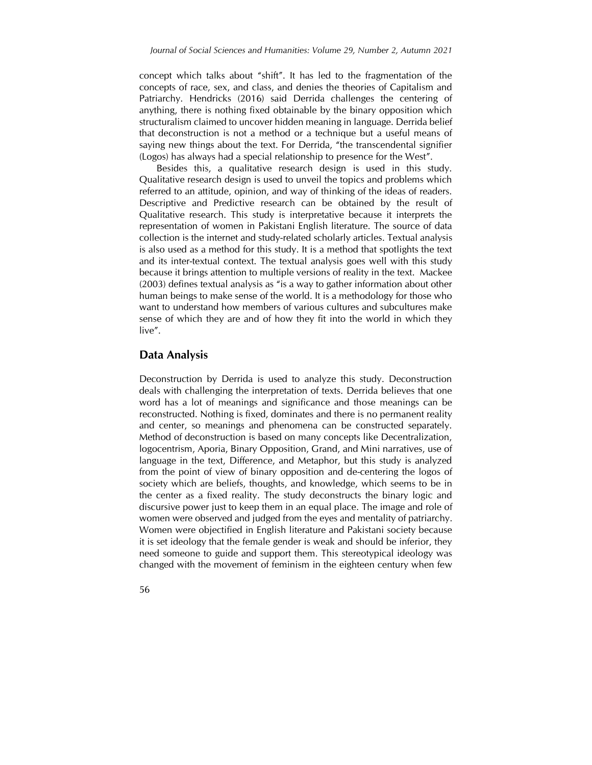concept which talks about "shift". It has led to the fragmentation of the concepts of race, sex, and class, and denies the theories of Capitalism and Patriarchy. Hendricks (2016) said Derrida challenges the centering of anything, there is nothing fixed obtainable by the binary opposition which structuralism claimed to uncover hidden meaning in language. Derrida belief that deconstruction is not a method or a technique but a useful means of saying new things about the text. For Derrida, "the transcendental signifier (Logos) has always had a special relationship to presence for the West".

Besides this, a qualitative research design is used in this study. Qualitative research design is used to unveil the topics and problems which referred to an attitude, opinion, and way of thinking of the ideas of readers. Descriptive and Predictive research can be obtained by the result of Qualitative research. This study is interpretative because it interprets the representation of women in Pakistani English literature. The source of data collection is the internet and study-related scholarly articles. Textual analysis is also used as a method for this study. It is a method that spotlights the text and its inter-textual context. The textual analysis goes well with this study because it brings attention to multiple versions of reality in the text. Mackee (2003) defines textual analysis as "is a way to gather information about other human beings to make sense of the world. It is a methodology for those who want to understand how members of various cultures and subcultures make sense of which they are and of how they fit into the world in which they live".

## **Data Analysis**

Deconstruction by Derrida is used to analyze this study. Deconstruction deals with challenging the interpretation of texts. Derrida believes that one word has a lot of meanings and significance and those meanings can be reconstructed. Nothing is fixed, dominates and there is no permanent reality and center, so meanings and phenomena can be constructed separately. Method of deconstruction is based on many concepts like Decentralization, logocentrism, Aporia, Binary Opposition, Grand, and Mini narratives, use of language in the text, Difference, and Metaphor, but this study is analyzed from the point of view of binary opposition and de-centering the logos of society which are beliefs, thoughts, and knowledge, which seems to be in the center as a fixed reality. The study deconstructs the binary logic and discursive power just to keep them in an equal place. The image and role of women were observed and judged from the eyes and mentality of patriarchy. Women were objectified in English literature and Pakistani society because it is set ideology that the female gender is weak and should be inferior, they need someone to guide and support them. This stereotypical ideology was changed with the movement of feminism in the eighteen century when few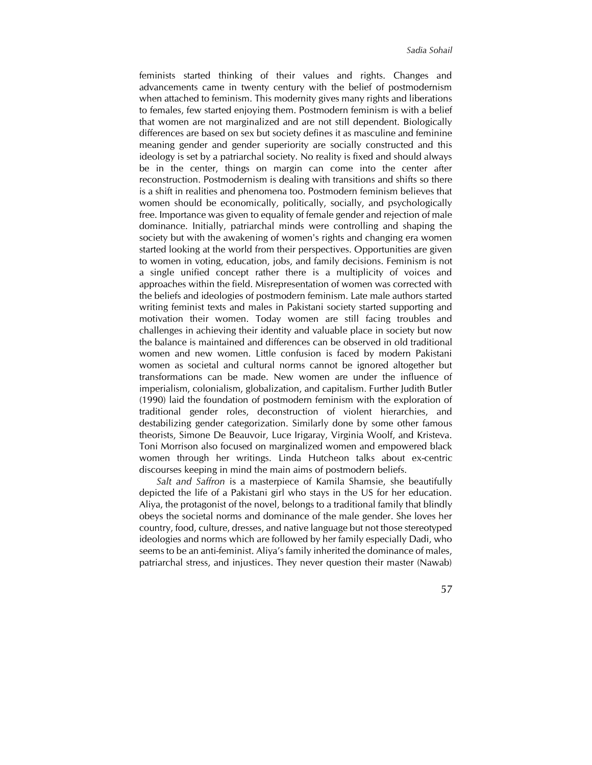feminists started thinking of their values and rights. Changes and advancements came in twenty century with the belief of postmodernism when attached to feminism. This modernity gives many rights and liberations to females, few started enjoying them. Postmodern feminism is with a belief that women are not marginalized and are not still dependent. Biologically differences are based on sex but society defines it as masculine and feminine meaning gender and gender superiority are socially constructed and this ideology is set by a patriarchal society. No reality is fixed and should always be in the center, things on margin can come into the center after reconstruction. Postmodernism is dealing with transitions and shifts so there is a shift in realities and phenomena too. Postmodern feminism believes that women should be economically, politically, socially, and psychologically free. Importance was given to equality of female gender and rejection of male dominance. Initially, patriarchal minds were controlling and shaping the society but with the awakening of women's rights and changing era women started looking at the world from their perspectives. Opportunities are given to women in voting, education, jobs, and family decisions. Feminism is not a single unified concept rather there is a multiplicity of voices and approaches within the field. Misrepresentation of women was corrected with the beliefs and ideologies of postmodern feminism. Late male authors started writing feminist texts and males in Pakistani society started supporting and motivation their women. Today women are still facing troubles and challenges in achieving their identity and valuable place in society but now the balance is maintained and differences can be observed in old traditional women and new women. Little confusion is faced by modern Pakistani women as societal and cultural norms cannot be ignored altogether but transformations can be made. New women are under the influence of imperialism, colonialism, globalization, and capitalism. Further Judith Butler (1990) laid the foundation of postmodern feminism with the exploration of traditional gender roles, deconstruction of violent hierarchies, and destabilizing gender categorization. Similarly done by some other famous theorists, Simone De Beauvoir, Luce Irigaray, Virginia Woolf, and Kristeva. Toni Morrison also focused on marginalized women and empowered black women through her writings. Linda Hutcheon talks about ex-centric discourses keeping in mind the main aims of postmodern beliefs.

*Salt and Saffron* is a masterpiece of Kamila Shamsie, she beautifully depicted the life of a Pakistani girl who stays in the US for her education. Aliya, the protagonist of the novel, belongs to a traditional family that blindly obeys the societal norms and dominance of the male gender. She loves her country, food, culture, dresses, and native language but not those stereotyped ideologies and norms which are followed by her family especially Dadi, who seems to be an anti-feminist. Aliya's family inherited the dominance of males, patriarchal stress, and injustices. They never question their master (Nawab)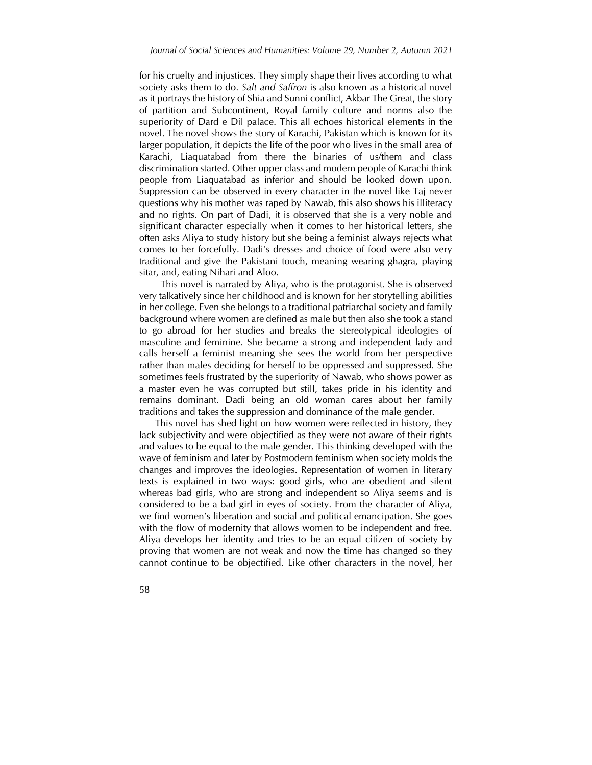for his cruelty and injustices. They simply shape their lives according to what society asks them to do. *Salt and Saffron* is also known as a historical novel as it portrays the history of Shia and Sunni conflict, Akbar The Great, the story of partition and Subcontinent, Royal family culture and norms also the superiority of Dard e Dil palace. This all echoes historical elements in the novel. The novel shows the story of Karachi, Pakistan which is known for its larger population, it depicts the life of the poor who lives in the small area of Karachi, Liaquatabad from there the binaries of us/them and class discrimination started. Other upper class and modern people of Karachi think people from Liaquatabad as inferior and should be looked down upon. Suppression can be observed in every character in the novel like Taj never questions why his mother was raped by Nawab, this also shows his illiteracy and no rights. On part of Dadi, it is observed that she is a very noble and significant character especially when it comes to her historical letters, she often asks Aliya to study history but she being a feminist always rejects what comes to her forcefully. Dadi's dresses and choice of food were also very traditional and give the Pakistani touch, meaning wearing ghagra, playing sitar, and, eating Nihari and Aloo.

 This novel is narrated by Aliya, who is the protagonist. She is observed very talkatively since her childhood and is known for her storytelling abilities in her college. Even she belongs to a traditional patriarchal society and family background where women are defined as male but then also she took a stand to go abroad for her studies and breaks the stereotypical ideologies of masculine and feminine. She became a strong and independent lady and calls herself a feminist meaning she sees the world from her perspective rather than males deciding for herself to be oppressed and suppressed. She sometimes feels frustrated by the superiority of Nawab, who shows power as a master even he was corrupted but still, takes pride in his identity and remains dominant. Dadi being an old woman cares about her family traditions and takes the suppression and dominance of the male gender.

 This novel has shed light on how women were reflected in history, they lack subjectivity and were objectified as they were not aware of their rights and values to be equal to the male gender. This thinking developed with the wave of feminism and later by Postmodern feminism when society molds the changes and improves the ideologies. Representation of women in literary texts is explained in two ways: good girls, who are obedient and silent whereas bad girls, who are strong and independent so Aliya seems and is considered to be a bad girl in eyes of society. From the character of Aliya, we find women's liberation and social and political emancipation. She goes with the flow of modernity that allows women to be independent and free. Aliya develops her identity and tries to be an equal citizen of society by proving that women are not weak and now the time has changed so they cannot continue to be objectified. Like other characters in the novel, her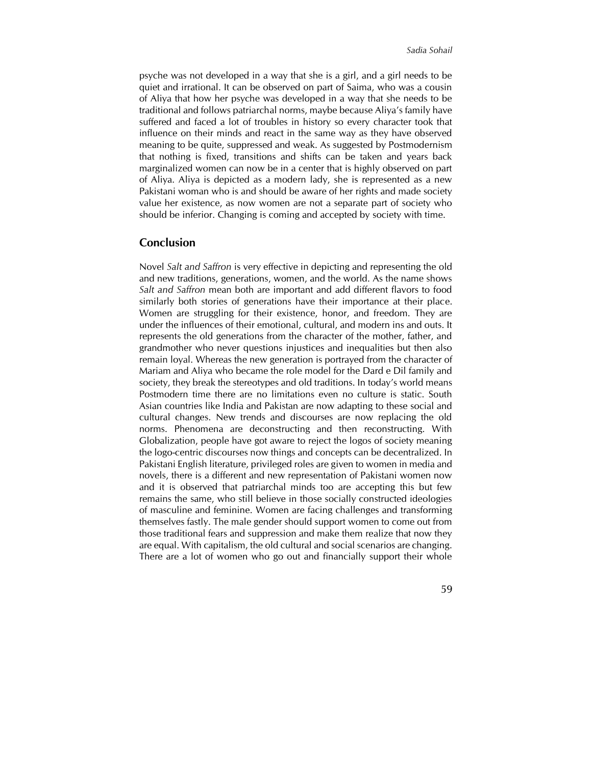psyche was not developed in a way that she is a girl, and a girl needs to be quiet and irrational. It can be observed on part of Saima, who was a cousin of Aliya that how her psyche was developed in a way that she needs to be traditional and follows patriarchal norms, maybe because Aliya's family have suffered and faced a lot of troubles in history so every character took that influence on their minds and react in the same way as they have observed meaning to be quite, suppressed and weak. As suggested by Postmodernism that nothing is fixed, transitions and shifts can be taken and years back marginalized women can now be in a center that is highly observed on part of Aliya. Aliya is depicted as a modern lady, she is represented as a new Pakistani woman who is and should be aware of her rights and made society value her existence, as now women are not a separate part of society who should be inferior. Changing is coming and accepted by society with time.

## **Conclusion**

Novel *Salt and Saffron* is very effective in depicting and representing the old and new traditions, generations, women, and the world. As the name shows *Salt and Saffron* mean both are important and add different flavors to food similarly both stories of generations have their importance at their place. Women are struggling for their existence, honor, and freedom. They are under the influences of their emotional, cultural, and modern ins and outs. It represents the old generations from the character of the mother, father, and grandmother who never questions injustices and inequalities but then also remain loyal. Whereas the new generation is portrayed from the character of Mariam and Aliya who became the role model for the Dard e Dil family and society, they break the stereotypes and old traditions. In today's world means Postmodern time there are no limitations even no culture is static. South Asian countries like India and Pakistan are now adapting to these social and cultural changes. New trends and discourses are now replacing the old norms. Phenomena are deconstructing and then reconstructing. With Globalization, people have got aware to reject the logos of society meaning the logo-centric discourses now things and concepts can be decentralized. In Pakistani English literature, privileged roles are given to women in media and novels, there is a different and new representation of Pakistani women now and it is observed that patriarchal minds too are accepting this but few remains the same, who still believe in those socially constructed ideologies of masculine and feminine. Women are facing challenges and transforming themselves fastly. The male gender should support women to come out from those traditional fears and suppression and make them realize that now they are equal. With capitalism, the old cultural and social scenarios are changing. There are a lot of women who go out and financially support their whole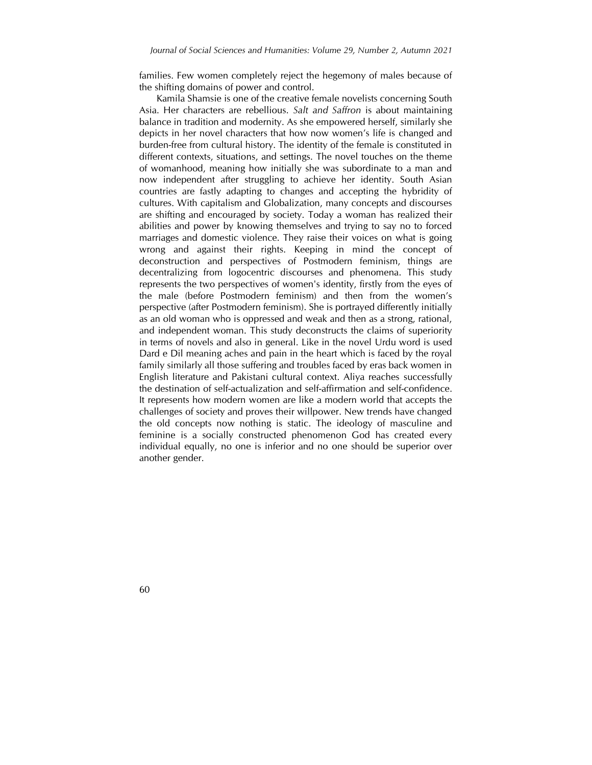families. Few women completely reject the hegemony of males because of the shifting domains of power and control.

Kamila Shamsie is one of the creative female novelists concerning South Asia. Her characters are rebellious. *Salt and Saffron* is about maintaining balance in tradition and modernity. As she empowered herself, similarly she depicts in her novel characters that how now women's life is changed and burden-free from cultural history. The identity of the female is constituted in different contexts, situations, and settings. The novel touches on the theme of womanhood, meaning how initially she was subordinate to a man and now independent after struggling to achieve her identity. South Asian countries are fastly adapting to changes and accepting the hybridity of cultures. With capitalism and Globalization, many concepts and discourses are shifting and encouraged by society. Today a woman has realized their abilities and power by knowing themselves and trying to say no to forced marriages and domestic violence. They raise their voices on what is going wrong and against their rights. Keeping in mind the concept of deconstruction and perspectives of Postmodern feminism, things are decentralizing from logocentric discourses and phenomena. This study represents the two perspectives of women's identity, firstly from the eyes of the male (before Postmodern feminism) and then from the women's perspective (after Postmodern feminism). She is portrayed differently initially as an old woman who is oppressed and weak and then as a strong, rational, and independent woman. This study deconstructs the claims of superiority in terms of novels and also in general. Like in the novel Urdu word is used Dard e Dil meaning aches and pain in the heart which is faced by the royal family similarly all those suffering and troubles faced by eras back women in English literature and Pakistani cultural context. Aliya reaches successfully the destination of self-actualization and self-affirmation and self-confidence. It represents how modern women are like a modern world that accepts the challenges of society and proves their willpower. New trends have changed the old concepts now nothing is static. The ideology of masculine and feminine is a socially constructed phenomenon God has created every individual equally, no one is inferior and no one should be superior over another gender.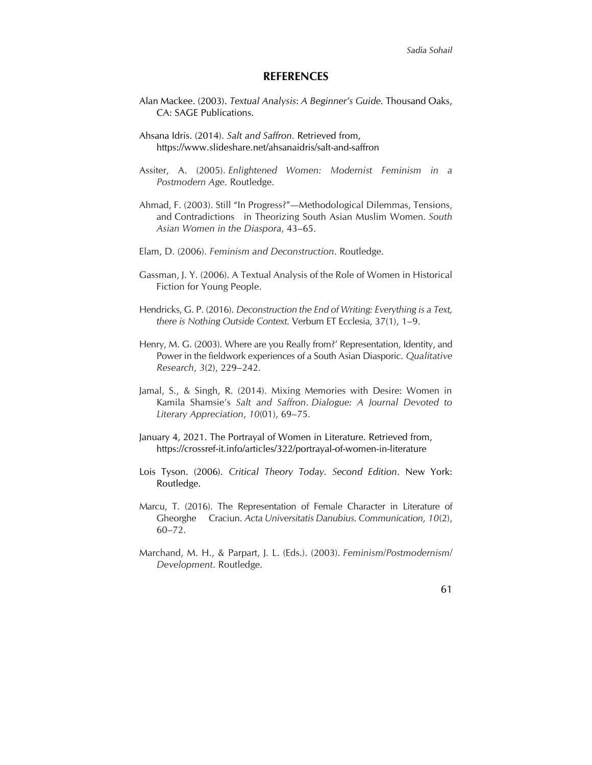#### **REFERENCES**

- Alan Mackee. (2003). *Textual Analysis*: *A Beginner's Guide.* Thousand Oaks, CA: SAGE Publications.
- Ahsana Idris. (2014). *Salt and Saffron.* Retrieved from, <https://www.slideshare.net/ahsanaidris/salt-and-saffron>
- Assiter, A. (2005). *Enlightened Women: Modernist Feminism in a Postmodern Age.* Routledge.
- Ahmad, F. (2003). Still "In Progress?"—Methodological Dilemmas, Tensions, and Contradictions in Theorizing South Asian Muslim Women. *South Asian Women in the Diaspora*, 43–65.
- Elam, D. (2006). *Feminism and Deconstruction*. Routledge.
- Gassman, J. Y. (2006). A Textual Analysis of the Role of Women in Historical Fiction for Young People.
- Hendricks, G. P. (2016). *Deconstruction the End of Writing: Everything is a Text, there is Nothing Outside Context.* Verbum ET Ecclesia, 37(1), 1–9.
- Henry, M. G. (2003). Where are you Really from?' Representation, Identity, and Power in the fieldwork experiences of a South Asian Diasporic. *Qualitative Research*, *3*(2), 229–242.
- Jamal, S., & Singh, R. (2014). Mixing Memories with Desire: Women in Kamila Shamsie's *Salt and Saffron*. *Dialogue: A Journal Devoted to Literary Appreciation*, *10*(01), 69–75.
- January 4, 2021. The Portrayal of Women in Literature. Retrieved from, <https://crossref-it.info/articles/322/portrayal-of-women-in-literature>
- Lois Tyson. (2006). *Critical Theory Today. Second Edition*. New York: Routledge.
- Marcu, T. (2016). The Representation of Female Character in Literature of Gheorghe Craciun. *Acta Universitatis Danubius. Communication*, *10*(2), 60–72.
- Marchand, M. H., & Parpart, J. L. (Eds.). (2003). *Feminism/Postmodernism/ Development*. Routledge.